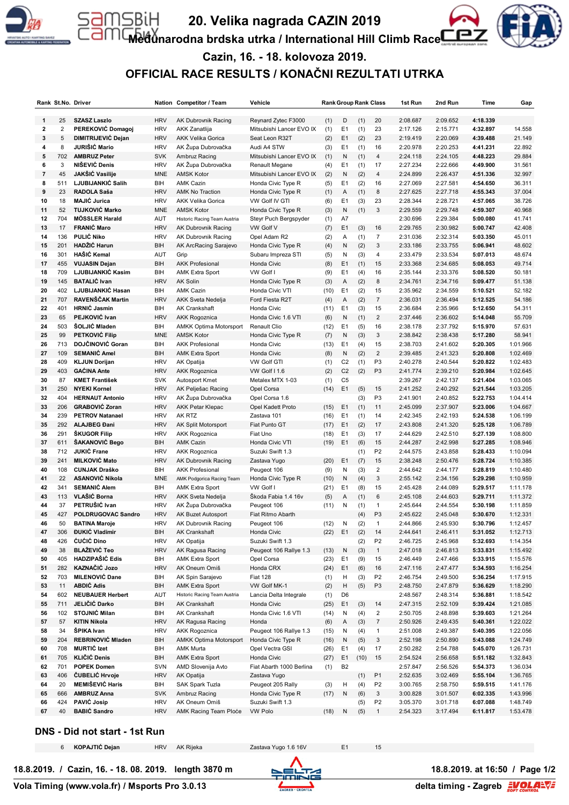

SBiH

# **20. Velika nagrada CAZIN 2019**

**Međunarodna brdska utrka / International Hill Climb Race**



## **Cazin, 16. - 18. kolovoza 2019. OFFICIAL RACE RESULTS / KONAČNI REZULTATI UTRKA**

|                     |                | Rank St.No. Driver                            |                   | Nation Competitor / Team                           | Vehicle                          |             |                      | <b>Rank Group Rank Class</b> |                     | 1st Run              | 2nd Run              | Time                 | Gap                  |
|---------------------|----------------|-----------------------------------------------|-------------------|----------------------------------------------------|----------------------------------|-------------|----------------------|------------------------------|---------------------|----------------------|----------------------|----------------------|----------------------|
|                     |                |                                               |                   |                                                    |                                  |             |                      |                              |                     |                      |                      |                      |                      |
| 1                   | 25             | <b>SZASZ Laszlo</b>                           | <b>HRV</b>        | <b>AK Dubrovnik Racing</b>                         | Reynard Zytec F3000              | (1)         | D                    | (1)                          | 20                  | 2:08.687             | 2:09.652             | 4:18.339             |                      |
| $\mathbf{2}$        | $\overline{2}$ | PEREKOVIĆ Domagoj                             | <b>HRV</b>        | AKK Zanatlija                                      | Mitsubishi Lancer EVO IX         | (1)         | E <sub>1</sub>       | (1)                          | 23                  | 2:17.126             | 2:15.771             | 4:32.897             | 14.558               |
| 3                   | 5              | DIMITRIJEVIĆ Dejan                            | <b>HRV</b>        | <b>AKK Velika Gorica</b>                           | Seat Leon R32T                   | (2)         | E1                   | (2)                          | 23                  | 2:19.419             | 2:20.069             | 4:39.488             | 21.149               |
| 4                   | 8              | <b>JURIŠIĆ Mario</b>                          | <b>HRV</b>        | AK Župa Dubrovačka                                 | Audi A4 STW                      | (3)         | E <sub>1</sub>       | (1)                          | 16                  | 2:20.978             | 2:20.253             | 4:41.231             | 22.892               |
| 5                   | 702            | <b>AMBRUZ Peter</b><br>NIŠEVIĆ Denis          | <b>SVK</b>        | Ambruz Racing                                      | Mitsubishi Lancer EVO IX         | (1)         | N                    | (1)                          | $\overline{4}$      | 2:24.118             | 2:24.105             | 4:48.223             | 29.884               |
| 6                   | 3              |                                               | <b>HRV</b>        | AK Župa Dubrovačka                                 | Renault Megane                   | (4)         | E <sub>1</sub>       | (1)                          | 17                  | 2:27.234             | 2:22.666             | 4:49.900             | 31.561               |
| $\overline{7}$<br>8 | 45             | JAKŠIĆ Vasilije                               | <b>MNE</b>        | <b>AMSK Kotor</b>                                  | Mitsubishi Lancer EVO IX         | (2)         | N                    | (2)                          | $\overline{4}$      | 2:24.899             | 2:26.437             | 4:51.336             | 32.997               |
|                     | 511            | LJUBIJANKIĆ Salih                             | BIH               | <b>AMK Cazin</b>                                   | Honda Civic Type R               | (5)         | E <sub>1</sub>       | (2)                          | 16                  | 2:27.069             | 2:27.581             | 4:54.650             | 36.311               |
| 9                   | 23             | RADOLA Saša<br><b>MAJIĆ Jurica</b>            | <b>HRV</b>        | <b>AMK No Traction</b>                             | Honda Civic Type R               | (1)         | A                    | (1)                          | 8                   | 2:27.625             | 2:27.718             | 4:55.343             | 37.004               |
| 10                  | 18             | <b>TUJKOVIĆ Marko</b>                         | <b>HRV</b>        | <b>AKK Velika Gorica</b>                           | VW Golf IV GTI                   | (6)         | E <sub>1</sub>       | (3)                          | 23<br>3             | 2:28.344             | 2:28.721<br>2:29.748 | 4:57.065<br>4:59.307 | 38.726               |
| 11                  | 52<br>704      |                                               | <b>MNE</b>        | <b>AMSK Kotor</b>                                  | Honda Civic Type R               | (3)         | N                    | (1)                          |                     | 2:29.559             |                      |                      | 40.968               |
| 12                  |                | MÖSSLER Harald<br><b>FRANIĆ Maro</b>          | AUT               | Historic Racing Team Austria                       | Steyr Puch Bergspyder            | (1)         | A7                   |                              |                     | 2:30.696             | 2:29.384             | 5:00.080             | 41.741               |
| 13                  | 17             | <b>PULIĆ Niko</b>                             | <b>HRV</b>        | <b>AK Dubrovnik Racing</b>                         | VW Golf V                        | (7)         | E1                   | (3)                          | 16                  | 2:29.765             | 2:30.982             | 5:00.747             | 42.408               |
| 14                  | 136            | HADŽIĆ Harun                                  | <b>HRV</b>        | AK Dubrovnik Racing                                | Opel Adam R2                     | (2)         | Α                    | (1)                          | $\overline{7}$<br>3 | 2:31.036             | 2:32.314             | 5:03.350             | 45.011               |
| 15                  | 201            | HAŠIĆ Kemal                                   | BIH               | AK ArcRacing Sarajevo                              | Honda Civic Type R               | (4)         | N                    | (2)                          |                     | 2:33.186             | 2:33.755             | 5:06.941             | 48.602               |
| 16                  | 301            |                                               | AUT               | Grip                                               | Subaru Impreza STI               | (5)         | N                    | (3)                          | 4                   | 2:33.479             | 2:33.534             | 5:07.013             | 48.674               |
| 17                  | 455            | <b>VUJASIN Dejan</b>                          | <b>BIH</b>        | <b>AKK Profesional</b>                             | Honda Civic                      | (8)         | E <sub>1</sub>       | (1)                          | 15                  | 2:33.368             | 2:34.685             | 5:08.053             | 49.714               |
| 18                  | 709            | LJUBIJANKIĆ Kasim                             | BIH               | <b>AMK Extra Sport</b>                             | VW Golf I                        | (9)         | E <sub>1</sub>       | (4)                          | 16                  | 2:35.144             | 2:33.376             | 5:08.520             | 50.181               |
| 19                  | 145            | <b>BATALIC Ivan</b>                           | <b>HRV</b>        | <b>AK Solin</b>                                    | Honda Civic Type R               | (3)         | Α                    | (2)                          | $\bf 8$             | 2:34.761             | 2:34.716             | 5:09.477             | 51.138               |
| 20                  | 402            | LJUBIJANKIĆ Hasan                             | BIH               | <b>AMK Cazin</b>                                   | Honda Civic VTI                  | (10)        | E <sub>1</sub>       | (2)                          | 15                  | 2:35.962             | 2:34.559             | 5:10.521             | 52.182               |
| 21                  | 707            | RAVENŠČAK Martin                              | <b>HRV</b>        | <b>AKK Sveta Nedelja</b>                           | Ford Fiesta R2T                  | (4)         | Α                    | (2)                          | $\overline{7}$      | 2:36.031             | 2:36.494             | 5:12.525             | 54.186               |
| 22                  | 401            | <b>HRNIC Jasmin</b>                           | BIH               | <b>AK Crankshaft</b>                               | Honda Civic                      | (11)        | E <sub>1</sub>       | (3)                          | 15                  | 2:36.684             | 2:35.966             | 5:12.650             | 54.311               |
| 23                  | 65             | <b>PEJKOVIĆ Ivan</b>                          | <b>HRV</b>        | <b>AKK Rogoznica</b>                               | Honda Civic 1.6 VTI              | (6)         | N                    | (1)                          | $\overline{2}$      | 2:37.446             | 2:36.602             | 5:14.048             | 55.709               |
| 24                  | 503            | <b>SOLJIĆ Mladen</b>                          | BIH               | <b>AMKK Optima Motorsport</b>                      | Renault Clio                     | (12)        | E <sub>1</sub>       | (5)                          | 16                  | 2:38.178             | 2:37.792             | 5:15.970             | 57.631               |
| 25                  | 99             | <b>PETKOVIĆ Filip</b>                         | <b>MNE</b>        | <b>AMSK Kotor</b>                                  | Honda Civic Type R               | (7)         | N                    | (3)                          | 3                   | 2:38.842             | 2:38.438             | 5:17.280             | 58.941               |
| 26                  | 713            | DOJČINOVIĆ Goran                              | BIH               | <b>AKK Profesional</b>                             | Honda Civic                      | (13)        | E <sub>1</sub>       | (4)                          | 15                  | 2:38.703             | 2:41.602             | 5:20.305             | 1:01.966             |
| 27                  | 109            | <b>SEMANIĆ Amel</b>                           | <b>BIH</b>        | <b>AMK Extra Sport</b>                             | Honda Civic                      | (8)         | N                    | (2)                          | $\overline{2}$      | 2:39.485             | 2:41.323             | 5:20.808             | 1:02.469             |
| 28                  | 409            | <b>KLJUN Dorijan</b>                          | <b>HRV</b>        | AK Opatija                                         | <b>VW Golf GTI</b>               | (1)         | C <sub>2</sub>       | (1)                          | P <sub>3</sub>      | 2:40.278             | 2:40.544             | 5:20.822             | 1:02.483             |
| 29                  | 403            | <b>GACINA Ante</b>                            | <b>HRV</b>        | <b>AKK Rogoznica</b>                               | VW Golf I 1.6                    | (2)         | C <sub>2</sub>       | (2)                          | P <sub>3</sub>      | 2:41.774             | 2:39.210             | 5:20.984             | 1:02.645             |
| 30                  | 87             | <b>KMET František</b>                         | <b>SVK</b>        | Autosport Kmet                                     | Metalex MTX 1-03                 | (1)         | C <sub>5</sub>       |                              |                     | 2:39.267             | 2:42.137             | 5:21.404             | 1:03.065             |
| 31                  | 250            | <b>NYEKI Kornel</b>                           | <b>HRV</b>        | AK Pelješac Racing                                 | Opel Corsa                       | (14)        | E1                   | (5)                          | 15                  | 2:41.252             | 2:40.292             | 5:21.544             | 1:03.205             |
| 32                  | 404            | <b>HERNAUT Antonio</b>                        | <b>HRV</b>        | AK Župa Dubrovačka                                 | Opel Corsa 1.6                   |             |                      | (3)                          | P <sub>3</sub>      | 2:41.901             | 2:40.852             | 5:22.753             | 1:04.414             |
| 33                  | 206            | <b>GRABOVIĆ Zoran</b>                         | <b>HRV</b>        | AKK Petar Klepac                                   | Opel Kadett Proto                | (15)        | E1                   | (1)                          | 11                  | 2:45.099             | 2:37.907             | 5:23.006             | 1:04.667             |
| 34                  | 239            | <b>PETROV Natanael</b>                        | <b>HRV</b>        | AK RTZ                                             | Zastava 101                      | (16)        | E <sub>1</sub>       | (1)                          | 14                  | 2:42.345             | 2:42.193             | 5:24.538             | 1:06.199             |
| 35                  | 292            | <b>ALAJBEG Đani</b>                           | <b>HRV</b>        | AK Split Motorsport                                | Fiat Punto GT                    | (17)        | E1                   | (2)                          | 17                  | 2:43.808             | 2:41.320             | 5:25.128             | 1:06.789             |
| 36                  | 291            | <b>ŠKUGOR Filip</b>                           | <b>HRV</b>        | AKK Rogoznica                                      | Fiat Uno                         | (18)        | E <sub>1</sub>       | (3)                          | 17                  | 2:44.629             | 2:42.510             | 5:27.139             | 1:08.800             |
| 37                  | 611            | ŠAKANOVIĆ Bego                                | BIH               | <b>AMK Cazin</b>                                   | Honda Civic VTI                  | (19)        | E <sub>1</sub>       | (6)                          | 15                  | 2:44.287             | 2:42.998             | 5:27.285             | 1:08.946             |
| 38                  | 712            | <b>JUKIĆ Frane</b>                            | <b>HRV</b>        | <b>AKK Rogoznica</b>                               | Suzuki Swift 1.3                 |             |                      | (1)                          | P <sub>2</sub>      | 2:44.575             | 2:43.858             | 5:28.433             | 1:10.094             |
| 39                  | 241            | <b>MILKOVIĆ Mato</b>                          | <b>HRV</b>        | <b>AK Dubrovnik Racing</b>                         | Zastava Yugo                     | (20)        | E1                   | (7)                          | 15                  | 2:38.248             | 2:50.476             | 5:28.724             | 1:10.385             |
| 40                  | 108            | <b>CUNJAK Draško</b>                          | BIH               | <b>AKK Profesional</b>                             | Peugeot 106                      | (9)         | N                    | (3)                          | $\overline{2}$      | 2:44.642             | 2:44.177             | 5:28.819             | 1:10.480             |
| 41                  | 22<br>341      | <b>ASANOVIĆ Nikola</b><br><b>SEMANIĆ Alem</b> | <b>MNE</b>        | AMK Podgorica Racing Team                          | Honda Civic Type R               | (10)        | N                    | (4)                          | $\sqrt{3}$<br>15    | 2:55.142             | 2:34.156             | 5:29.298             | 1:10.959<br>1:11.178 |
| 42<br>43            | 113            | VLAŠIĆ Borna                                  | BIH<br><b>HRV</b> | <b>AMK Extra Sport</b><br><b>AKK Sveta Nedelja</b> | VW Golf I<br>Škoda Fabia 1.4 16v | (21)        | E <sub>1</sub>       | (8)                          | 6                   | 2:45.428<br>2:45.108 | 2:44.089<br>2:44.603 | 5:29.517<br>5:29.711 | 1:11.372             |
| 44                  | 37             | PETRUŠIĆ Ivan                                 | <b>HRV</b>        | AK Župa Dubrovačka                                 | Peugeot 106                      | (5)         | A<br>N               | (1)                          | $\mathbf{1}$        | 2:45.644             | 2:44.554             | 5:30.198             | 1:11.859             |
| 45                  | 427            | POLDRUGOVAC Sandro                            | <b>HRV</b>        | AK Buzet Autosport                                 | Fiat Ritmo Abarth                | (11)        |                      | (1)                          | P <sub>3</sub>      | 2:45.622             | 2:45.048             | 5:30.670             | 1:12.331             |
| 46                  | 50             | <b>BATINA Maroje</b>                          | <b>HRV</b>        | <b>AK Dubrovnik Racing</b>                         | Peugeot 106                      | (12)        | N                    | (4)<br>(2)                   | $\mathbf{1}$        | 2:44.866             | 2:45.930             | 5:30.796             | 1:12.457             |
| 47                  | 306            | <b>ĐUKIĆ Vladimir</b>                         | <b>BIH</b>        | AK Crankshaft                                      | Honda Civic                      | (22)        | E <sub>1</sub>       | (2)                          | 14                  | 2:44.641             | 2:46.411             | 5:31.052             | 1:12.713             |
| 48                  | 426            | ĆUĆIĆ Dino                                    | <b>HRV</b>        | AK Opatija                                         | Suzuki Swift 1.3                 |             |                      | (2)                          | P <sub>2</sub>      | 2:46.725             | 2:45.968             | 5:32.693             | 1:14.354             |
| 49                  | 38             | <b>BLAŽEVIĆ Teo</b>                           | <b>HRV</b>        | AK Ragusa Racing                                   | Peugeot 106 Rallye 1.3           | (13)        | N                    | (3)                          | $\mathbf{1}$        | 2:47.018             | 2:46.813             | 5:33.831             | 1:15.492             |
| 50                  | 405            | HADZIPAŠIĆ Edis                               | BIH               | <b>AMK Extra Sport</b>                             | Opel Corsa                       | (23)        | E <sub>1</sub>       | (9)                          | 15                  | 2:46.449             | 2:47.466             | 5:33.915             | 1:15.576             |
| 51                  | 282            | KAZNAČIĆ Jozo                                 | <b>HRV</b>        | AK Oneum Omiš                                      | Honda CRX                        | (24)        | E <sub>1</sub>       | (6)                          | 16                  | 2:47.116             | 2:47.477             | 5:34.593             | 1:16.254             |
| 52                  | 703            | <b>MILENOVIĆ Dane</b>                         | BIH               | AK Spin Sarajevo                                   | <b>Fiat 128</b>                  | (1)         | н                    | (3)                          | P <sub>2</sub>      | 2:46.754             | 2:49.500             | 5:36.254             | 1:17.915             |
| 53                  | 11             | <b>ABDIĆ Adis</b>                             | BIH               | <b>AMK Extra Sport</b>                             | VW Golf MK-1                     | (2)         | н                    | (5)                          | P <sub>3</sub>      | 2:48.750             | 2:47.879             | 5:36.629             | 1:18.290             |
| 54                  | 602            | <b>NEUBAUER Herbert</b>                       | AUT               | Historic Racing Team Austria                       | Lancia Delta Integrale           | (1)         | D <sub>6</sub>       |                              |                     | 2:48.567             | 2:48.314             | 5:36.881             | 1:18.542             |
| 55                  | 711            | JELIČIĆ Darko                                 | <b>BIH</b>        | AK Crankshaft                                      | Honda Civic                      | (25)        | E <sub>1</sub>       | (3)                          | 14                  | 2:47.315             | 2:52.109             | 5:39.424             | 1:21.085             |
| 56                  | 102            | <b>STOJNIĆ Milan</b>                          | BIH               | AK Crankshaft                                      | Honda Civic 1.6 VTI              | (14)        | N                    | (4)                          | $\overline{c}$      | 2:50.705             | 2:48.898             | 5:39.603             | 1:21.264             |
| 57                  | 57             | <b>KITIN Nikola</b>                           | <b>HRV</b>        | AK Ragusa Racing                                   | Honda                            | (6)         | Α                    | (3)                          | $\overline{7}$      | 2:50.926             | 2:49.435             | 5:40.361             | 1:22.022             |
| 58                  | 34             | ŠPIKA Ivan                                    | <b>HRV</b>        | <b>AKK Rogoznica</b>                               | Peugeot 106 Rallye 1.3           | (15)        | N                    | (4)                          | $\overline{1}$      | 2:51.008             | 2:49.387             | 5:40.395             | 1:22.056             |
| 59                  | 204            | REBRINOVIĆ Mladen                             | BIH               | <b>AMKK Optima Motorsport</b>                      | Honda Civic Type R               | (16)        | N                    | (5)                          | $\mathbf{3}$        | 2:52.198             | 2:50.890             | 5:43.088             | 1:24.749             |
| 60                  | 708            | <b>MURTIĆ Izet</b>                            |                   | <b>AMK Murta</b>                                   | Opel Vectra GSI                  |             |                      |                              |                     | 2:50.282             | 2:54.788             | 5:45.070             |                      |
| 61                  | 705            | <b>KLIČIĆ Denis</b>                           | BIH<br>BIH        | <b>AMK Extra Sport</b>                             | Honda Civic                      | (26)        | E1<br>E <sub>1</sub> | (4)<br>(10)                  | 17<br>15            | 2:54.524             | 2:56.658             |                      | 1:26.731<br>1:32.843 |
| 62                  | 701            | POPEK Domen                                   | <b>SVN</b>        | AMD Slovenija Avto                                 | Fiat Abarth 1000 Berlina         | (27)        | B <sub>2</sub>       |                              |                     | 2:57.847             | 2:56.526             | 5:51.182<br>5:54.373 | 1:36.034             |
| 63                  | 406            | ČUBELIĆ Hrvoje                                | <b>HRV</b>        | AK Opatija                                         | Zastava Yugo                     | (1)         |                      |                              | P <sub>1</sub>      | 2:52.635             | 3:02.469             | 5:55.104             | 1:36.765             |
| 64                  | 20             | <b>MEMIŠEVIĆ Haris</b>                        | BIH               | SAK Spark Tuzla                                    | Peugeot 205 Rally                |             | н                    | (1)<br>(4)                   | P <sub>2</sub>      | 3:00.765             | 2:58.750             | 5:59.515             | 1:41.176             |
| 65                  | 666            | <b>AMBRUZ Anna</b>                            | <b>SVK</b>        | Ambruz Racing                                      | Honda Civic Type R               | (3)<br>(17) | N                    | (6)                          | $\mathbf{3}$        | 3:00.828             | 3:01.507             | 6:02.335             | 1:43.996             |
| 66                  | 424            | PAVIĆ Josip                                   | <b>HRV</b>        | AK Oneum Omiš                                      | Suzuki Swift 1.3                 |             |                      | (5)                          | P <sub>2</sub>      | 3:05.370             | 3:01.718             | 6:07.088             | 1:48.749             |
| 67                  | 40             | <b>BABIĆ Sandro</b>                           | <b>HRV</b>        | AMK Racing Team Ploće                              | <b>VW Polo</b>                   | (18)        | N                    | (5)                          | $\overline{1}$      | 2:54.323             | 3:17.494             | 6:11.817             | 1:53.478             |
|                     |                |                                               |                   |                                                    |                                  |             |                      |                              |                     |                      |                      |                      |                      |

#### **DNS - Did not start - 1st Run**

**KOPAJTIĆ Dejan** HRV AK Rijeka Zastava Yugo 1.6 16V E1

**18.8.2019. / Cazin, 16. - 18. 08. 2019. length 3870 m 18.8.2019. at 16:50 / Page 1/2**